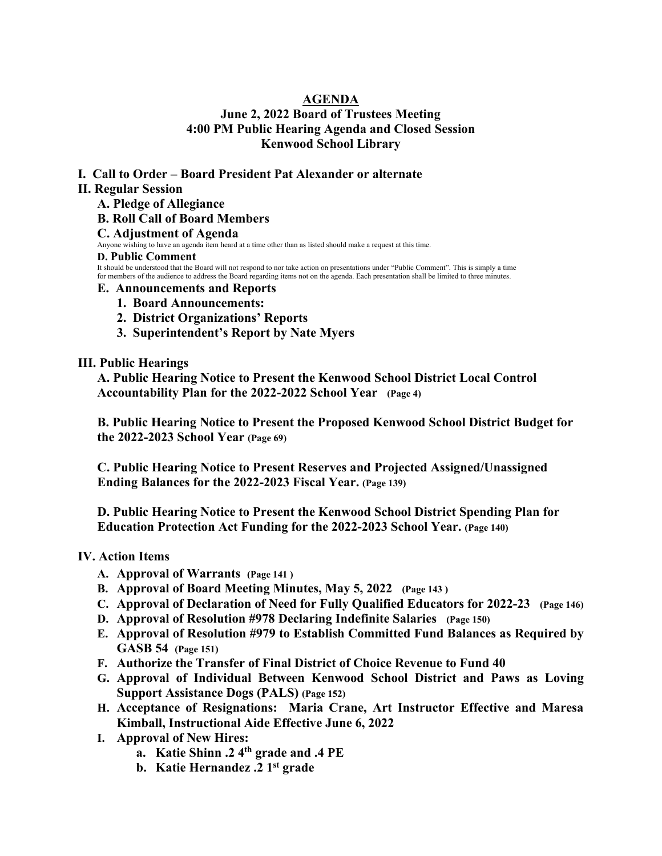# **AGENDA June 2, 2022 Board of Trustees Meeting 4:00 PM Public Hearing Agenda and Closed Session Kenwood School Library**

## **I. Call to Order – Board President Pat Alexander or alternate**

## **II. Regular Session**

**A. Pledge of Allegiance**

## **B. Roll Call of Board Members**

## **C. Adjustment of Agenda**

Anyone wishing to have an agenda item heard at a time other than as listed should make a request at this time.

#### **D. Public Comment**

It should be understood that the Board will not respond to nor take action on presentations under "Public Comment". This is simply a time for members of the audience to address the Board regarding items not on the agenda. Each presentation shall be limited to three minutes.

## **E. Announcements and Reports**

- **1. Board Announcements:**
- **2. District Organizations' Reports**
- **3. Superintendent's Report by Nate Myers**

## **III. Public Hearings**

**A. Public Hearing Notice to Present the Kenwood School District Local Control Accountability Plan for the 2022-2022 School Year (Page 4)**

**B. Public Hearing Notice to Present the Proposed Kenwood School District Budget for the 2022-2023 School Year (Page 69)**

**C. Public Hearing Notice to Present Reserves and Projected Assigned/Unassigned Ending Balances for the 2022-2023 Fiscal Year. (Page 139)**

**D. Public Hearing Notice to Present the Kenwood School District Spending Plan for Education Protection Act Funding for the 2022-2023 School Year. (Page 140)**

# **IV. Action Items**

- **A. Approval of Warrants (Page 141 )**
- **B. Approval of Board Meeting Minutes, May 5, 2022 (Page 143 )**
- **C. Approval of Declaration of Need for Fully Qualified Educators for 2022-23 (Page 146)**
- **D. Approval of Resolution #978 Declaring Indefinite Salaries (Page 150)**
- **E. Approval of Resolution #979 to Establish Committed Fund Balances as Required by GASB 54 (Page 151)**
- **F. Authorize the Transfer of Final District of Choice Revenue to Fund 40**
- **G. Approval of Individual Between Kenwood School District and Paws as Loving Support Assistance Dogs (PALS) (Page 152)**
- **H. Acceptance of Resignations: Maria Crane, Art Instructor Effective and Maresa Kimball, Instructional Aide Effective June 6, 2022**
- **I. Approval of New Hires:** 
	- **a. Katie Shinn .2 4th grade and .4 PE**
	- **b. Katie Hernandez .2 1st grade**